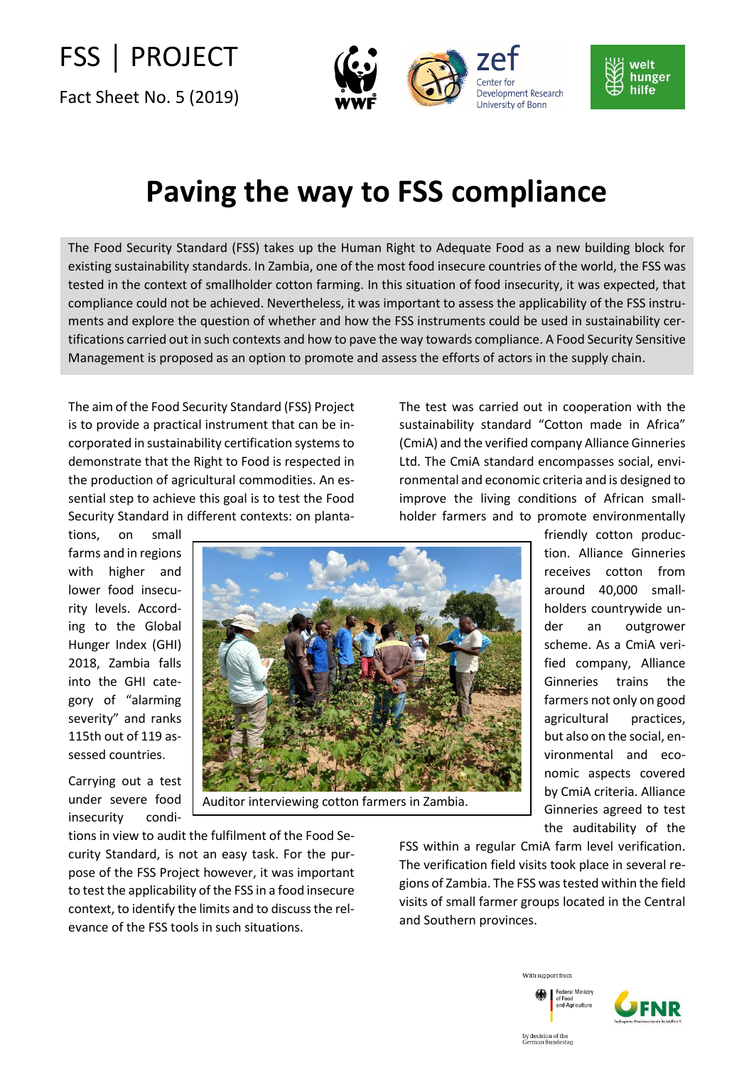## FSS │ PROJECT

Fact Sheet No. 5 (2019)





## **Paving the way to FSS compliance**

The Food Security Standard (FSS) takes up the Human Right to Adequate Food as a new building block for existing sustainability standards. In Zambia, one of the most food insecure countries of the world, the FSS was tested in the context of smallholder cotton farming. In this situation of food insecurity, it was expected, that compliance could not be achieved. Nevertheless, it was important to assess the applicability of the FSS instruments and explore the question of whether and how the FSS instruments could be used in sustainability certifications carried out in such contexts and how to pave the way towards compliance. A Food Security Sensitive Management is proposed as an option to promote and assess the efforts of actors in the supply chain.

The aim of the Food Security Standard (FSS) Project is to provide a practical instrument that can be incorporated in sustainability certification systems to demonstrate that the Right to Food is respected in the production of agricultural commodities. An essential step to achieve this goal is to test the Food Security Standard in different contexts: on plantaThe test was carried out in cooperation with the sustainability standard "Cotton made in Africa" (CmiA) and the verified company Alliance Ginneries Ltd. The CmiA standard encompasses social, environmental and economic criteria and is designed to improve the living conditions of African smallholder farmers and to promote environmentally

tions, on small farms and in regions with higher and lower food insecurity levels. According to the Global Hunger Index (GHI) 2018, Zambia falls into the GHI category of "alarming severity" and ranks 115th out of 119 assessed countries.

insecurity condi-

Carrying out a test under severe food Auditor interviewing cotton farmers in Zambia. friendly cotton production. Alliance Ginneries receives cotton from around 40,000 smallholders countrywide under an outgrower scheme. As a CmiA verified company, Alliance Ginneries trains the farmers not only on good agricultural practices, but also on the social, environmental and economic aspects covered by CmiA criteria. Alliance Ginneries agreed to test

the auditability of the

tions in view to audit the fulfilment of the Food Security Standard, is not an easy task. For the purpose of the FSS Project however, it was important to test the applicability of the FSS in a food insecure context, to identify the limits and to discuss the relevance of the FSS tools in such situations.

FSS within a regular CmiA farm level verification. The verification field visits took place in several regions of Zambia. The FSS was tested within the field visits of small farmer groups located in the Central and Southern provinces.





by decision of the<br>German Bundestac